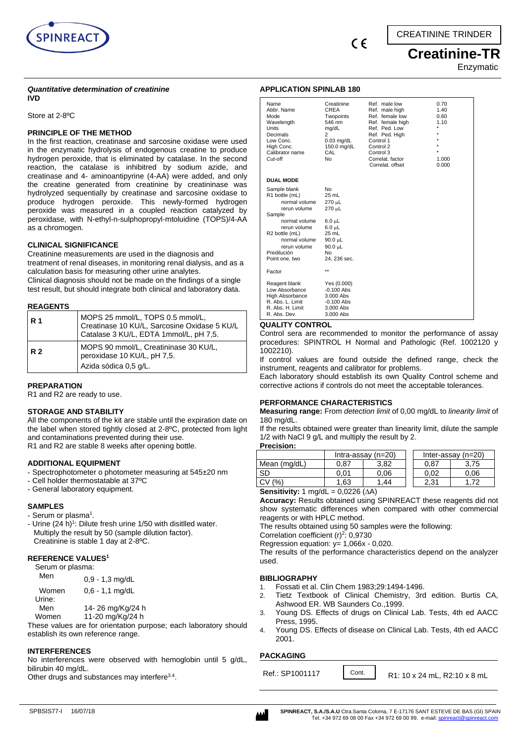



# **Creatinine-TR** Enzymatic

#### *Quantitative determination of creatinine* **IVD**

Store at 2-8ºC

## **PRINCIPLE OF THE METHOD**

In the first reaction, creatinase and sarcosine oxidase were used in the enzymatic hydrolysis of endogenous creatine to produce hydrogen peroxide, that is eliminated by catalase. In the second reaction, the catalase is inhibitred by sodium azide, and creatinase and 4- aminoantipyrine (4-AA) were added, and only the creatine generated from creatinine by creatininase was hydrolyzed sequentially by creatinase and sarcosine oxidase to produce hydrogen peroxide. This newly-formed hydrogen peroxide was measured in a coupled reaction catalyzed by peroxidase, with N-ethyl-n-sulphopropyl-mtoluidine (TOPS)/4-AA as a chromogen.

### **CLINICAL SIGNIFICANCE**

Creatinine measurements are used in the diagnosis and treatment of renal diseases, in monitoring renal dialysis, and as a calculation basis for measuring other urine analytes. Clinical diagnosis should not be made on the findings of a single test result, but should integrate both clinical and laboratory data.

### **REAGENTS**

| <b>R</b> 1 | MOPS 25 mmol/L, TOPS 0.5 mmol/L,<br>Creatinase 10 KU/L, Sarcosine Oxidase 5 KU/L<br>Catalase 3 KU/L, EDTA 1mmol/L, pH 7,5. |
|------------|----------------------------------------------------------------------------------------------------------------------------|
| R 2        | MOPS 90 mmol/L, Creatininase 30 KU/L,<br>peroxidase 10 KU/L, pH 7,5.                                                       |
|            | Azida sódica 0,5 g/L.                                                                                                      |

### **PREPARATION**

R1 and R2 are ready to use.

### **STORAGE AND STABILITY**

All the components of the kit are stable until the expiration date on the label when stored tightly closed at 2-8ºC, protected from light and contaminations prevented during their use. R1 and R2 are stable 8 weeks after opening bottle.

### **ADDITIONAL EQUIPMENT**

- Spectrophotometer o photometer measuring at 545±20 nm
- Cell holder thermostatable at 37ºC
- General laboratory equipment.

### **SAMPLES**

- Serum or plasma<sup>1</sup>.
- Urine (24 h)<sup>1</sup>: Dilute fresh urine 1/50 with disitlled water. Multiply the result by 50 (sample dilution factor). Creatinine is stable 1 day at 2-8ºC.

#### **REFERENCE VALUES<sup>1</sup>**

| Serum or plasma: |  |  |  |  |
|------------------|--|--|--|--|
|------------------|--|--|--|--|

| Men    | $0.9 - 1.3$ mg/dL |
|--------|-------------------|
| Women  | $0.6 - 1.1$ mg/dL |
| Urine: |                   |
| Men    | 14-26 mg/Kg/24 h  |
| Women  | 11-20 mg/Kg/24 h  |

These values are for orientation purpose; each laboratory should establish its own reference range.

### **INTERFERENCES**

No interferences were observed with hemoglobin until 5 g/dL, bilirubin 40 mg/dL.

Other drugs and substances may interfere<sup>3.4</sup>.

## **APPLICATION SPINLAB 180**

| Name<br>Abbr. Name<br>Mode<br>Wavelength<br>Units<br>Decimals<br>Low Conc.<br>High Conc.<br>Calibrator name<br>Cut-off                                                                                     | Creatinine<br><b>CREA</b><br>Twopoints<br>546 nm<br>mg/dL<br>2<br>$0.03$ mg/dL<br>150.0 mg/dL<br>CAL<br><b>No</b>                               | Ref. male low<br>Ref. male high<br>Ref. female low<br>Ref. female high<br>Ref. Ped. Low<br>Ref. Ped. High<br>Control 1<br>Control 2<br>Control 3<br>Correlat. factor<br>Correlat. offset | 0.70<br>1.40<br>0.60<br>1.10<br>$\star$<br>$\star$<br>٠<br>$\star$<br>$\star$<br>1.000<br>0.000 |
|------------------------------------------------------------------------------------------------------------------------------------------------------------------------------------------------------------|-------------------------------------------------------------------------------------------------------------------------------------------------|------------------------------------------------------------------------------------------------------------------------------------------------------------------------------------------|-------------------------------------------------------------------------------------------------|
| <b>DUAL MODE</b>                                                                                                                                                                                           |                                                                                                                                                 |                                                                                                                                                                                          |                                                                                                 |
| Sample blank<br>R1 bottle (mL)<br>normal volume<br>rerun volume<br>Sample<br>normal volume<br>rerun volume<br>R <sub>2</sub> bottle (mL)<br>normal volume<br>rerun volume<br>Predilución<br>Point one, two | <b>No</b><br>25 mL<br>$270 \mu L$<br>270 µL<br>$6.0 \mu L$<br>$6.0 \mu L$<br>25 mL<br>$90.0 \mu L$<br>$90.0 \mu L$<br><b>No</b><br>24, 236 sec. |                                                                                                                                                                                          |                                                                                                 |
| Factor                                                                                                                                                                                                     | $\star\star$                                                                                                                                    |                                                                                                                                                                                          |                                                                                                 |
| Reagent blank<br>Low Absorbance<br>High Absorbance<br>R. Abs. L. Limit<br>R. Abs. H. Limit<br>R. Abs. Dev.                                                                                                 | Yes (0.000)<br>$-0.100$ Abs<br>3.000 Abs<br>$-0.100$ Abs<br>3.000 Abs<br>3.000 Abs                                                              |                                                                                                                                                                                          |                                                                                                 |

#### **QUALITY CONTROL**

Control sera are recommended to monitor the performance of assay procedures: SPINTROL H Normal and Pathologic (Ref. 1002120 y 1002210).

If control values are found outside the defined range, check the instrument, reagents and calibrator for problems.

Each laboratory should establish its own Quality Control scheme and corrective actions if controls do not meet the acceptable tolerances.

### **PERFORMANCE CHARACTERISTICS**

**Measuring range:** From *detection limit* of 0,00 mg/dL to *linearity limit* of 180 mg/dL.

If the results obtained were greater than linearity limit, dilute the sample 1/2 with NaCl 9 g/L and multiply the result by 2.

**Precision:**

|              | Intra-assay $(n=20)$ |      |  |      | Inter-assay $(n=20)$ |
|--------------|----------------------|------|--|------|----------------------|
| Mean (mg/dL) | 0.87                 | 3.82 |  | 0.87 | .75                  |
| SD           | 0.01                 | 0.06 |  | 0.02 | 0.06                 |
| CV (%)       | 1.63                 | 44   |  | 2.31 |                      |
| _______      | 0.0000111            |      |  |      |                      |

**Sensitivity:**  $1 \text{ mg/dL} = 0,0226 \text{ (}\Delta\text{A)}$ 

**Accuracy:** Results obtained using SPINREACT these reagents did not show systematic differences when compared with other commercial reagents or with HPLC method.

The results obtained using 50 samples were the following:

Correlation coefficient  $(r)^2$ : 0,9730

Regression equation: y= 1,066x - 0,020.

The results of the performance characteristics depend on the analyzer used.

### **BIBLIOGRAPHY**

- 1. Fossati et al. Clin Chem 1983;29:1494-1496.
- 2. Tietz Textbook of Clinical Chemistry, 3rd edition. Burtis CA, Ashwood ER. WB Saunders Co.,1999.
- 3. Young DS. Effects of drugs on Clinical Lab. Tests, 4th ed AACC Press, 1995.
- 4. Young DS. Effects of disease on Clinical Lab. Tests, 4th ed AACC 2001.

Cont.

### **PACKAGING**

Ref.: SP1001117 Cont. R1: 10 x 24 mL, R2:10 x 8 mL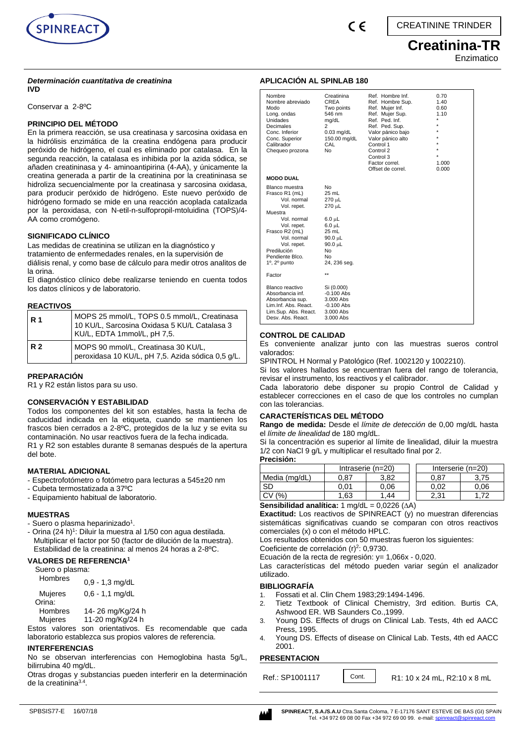

# **Creatinina-TR**

Enzimatico

#### *Determinación cuantitativa de creatinina*  **IVD**

Conservar a 2-8ºC

### **PRINCIPIO DEL MÉTODO**

En la primera reacción, se usa creatinasa y sarcosina oxidasa en la hidrólisis enzimática de la creatina endógena para producir peróxido de hidrógeno, el cual es eliminado por catalasa. En la segunda reacción, la catalasa es inhibida por la azida sódica, se añaden creatininasa y 4- aminoantipirina (4-AA), y únicamente la creatina generada a partir de la creatinina por la creatininasa se hidroliza secuencialmente por la creatinasa y sarcosina oxidasa, para producir peróxido de hidrógeno. Este nuevo peróxido de hidrógeno formado se mide en una reacción acoplada catalizada por la peroxidasa, con N-etil-n-sulfopropil-mtoluidina (TOPS)/4- AA como cromógeno.

### **SIGNIFICADO CLÍNICO**

Las medidas de creatinina se utilizan en la diagnóstico y tratamiento de enfermedades renales, en la supervisión de diálisis renal, y como base de cálculo para medir otros analitos de la orina.

El diagnóstico clínico debe realizarse teniendo en cuenta todos los datos clínicos y de laboratorio.

### **REACTIVOS**

| <b>R</b> 1 | MOPS 25 mmol/L, TOPS 0.5 mmol/L, Creatinasa<br>10 KU/L, Sarcosina Oxidasa 5 KU/L Catalasa 3<br>KU/L, EDTA 1mmol/L, pH 7,5. |
|------------|----------------------------------------------------------------------------------------------------------------------------|
| <b>R2</b>  | MOPS 90 mmol/L, Creatinasa 30 KU/L,<br>peroxidasa 10 KU/L, pH 7,5. Azida sódica 0,5 g/L.                                   |

### **PREPARACIÓN**

R1 y R2 están listos para su uso.

### **CONSERVACIÓN Y ESTABILIDAD**

Todos los componentes del kit son estables, hasta la fecha de caducidad indicada en la etiqueta, cuando se mantienen los frascos bien cerrados a 2-8ºC, protegidos de la luz y se evita su contaminación. No usar reactivos fuera de la fecha indicada. R1 y R2 son estables durante 8 semanas después de la apertura del bote.

### **MATERIAL ADICIONAL**

- Espectrofotómetro o fotómetro para lecturas a 545±20 nm
- Cubeta termostatizada a 37ºC
- Equipamiento habitual de laboratorio.

#### **MUESTRAS**

- Suero o plasma heparinizado<sup>1</sup>.
- Orina (24 h)<sup>1</sup>: Diluir la muestra al 1/50 con agua destilada. Multiplicar el factor por 50 (factor de dilución de la muestra). Estabilidad de la creatinina: al menos 24 horas a 2-8ºC.

#### **VALORES DE REFERENCIA<sup>1</sup>**

| Hombres           | $0,9 - 1,3$ mg/dL |
|-------------------|-------------------|
| Mujeres           | $0,6 - 1,1$ mg/dL |
| Orina:<br>Hombres | 14-26 mg/Kg/24 h  |
| <b>Mujeres</b>    | 11-20 mg/Kg/24 h  |

Estos valores son orientativos. Es recomendable que cada laboratorio establezca sus propios valores de referencia.

#### **INTERFERENCIAS**

No se observan interferencias con Hemoglobina hasta 5g/L, bilirrubina 40 mg/dL.

Otras drogas y substancias pueden interferir en la determinación de la creatinina<sup>3.4</sup>.

### **APLICACIÓN AL SPINLAB 180**

| Nombre<br>Nombre abreviado<br>Modo<br>Long. ondas<br>Unidades<br>Decimales<br>Conc. Inferior<br>Conc. Superior<br>Calibrador<br>Chequeo prozona                                                                          | Creatinina<br>CREA<br>Two points<br>546 nm<br>mg/dL<br>2<br>$0.03$ mg/dL<br>150.00 mg/dL<br>CAL<br>No          | Ref. Hombre Inf.<br>Ref. Hombre Sup.<br>Ref. Mujer Inf.<br>Ref. Mujer Sup.<br>Ref. Ped. Inf.<br>Ref. Ped. Sup.<br>Valor pánico bajo<br>Valor pánico alto<br>Control 1<br>Control 2<br>Control 3<br>Factor correl.<br>Offset de correl. | 0.70<br>1.40<br>0.60<br>1.10<br>٠<br>1.000<br>0.000 |
|--------------------------------------------------------------------------------------------------------------------------------------------------------------------------------------------------------------------------|----------------------------------------------------------------------------------------------------------------|----------------------------------------------------------------------------------------------------------------------------------------------------------------------------------------------------------------------------------------|-----------------------------------------------------|
| <b>MODO DUAL</b>                                                                                                                                                                                                         |                                                                                                                |                                                                                                                                                                                                                                        |                                                     |
| Blanco muestra<br>Frasco R1 (mL)<br>Vol. normal<br>Vol. repet.<br>Muestra<br>Vol. normal<br>Vol. repet.<br>Frasco R2 (mL)<br>Vol. normal<br>Vol. repet.<br>Predilución<br>Pendiente Blco.<br>$1^\circ$ , $2^\circ$ punto | No<br>25 mL<br>270 µL<br>270 µL<br>6.0 µL<br>6.0 µL<br>25 mL<br>90.0 µL<br>90.0 µL<br>No<br>No<br>24, 236 seg. |                                                                                                                                                                                                                                        |                                                     |
| Factor                                                                                                                                                                                                                   | $\star\star$                                                                                                   |                                                                                                                                                                                                                                        |                                                     |
| Blanco reactivo<br>Absorbancia inf.<br>Absorbancia sup.<br>Lim.Inf. Abs. React.<br>Lim.Sup. Abs. React.<br>Desy, Abs. React.                                                                                             | Si (0.000)<br>$-0.100$ Abs<br>$3.000$ Abs<br>$-0.100$ Abs<br>3.000 Abs<br>3.000 Abs                            |                                                                                                                                                                                                                                        |                                                     |

### **CONTROL DE CALIDAD**

Es conveniente analizar junto con las muestras sueros control valorados:

SPINTROL H Normal y Patológico (Ref. 1002120 y 1002210).

Si los valores hallados se encuentran fuera del rango de tolerancia, revisar el instrumento, los reactivos y el calibrador.

Cada laboratorio debe disponer su propio Control de Calidad y establecer correcciones en el caso de que los controles no cumplan con las tolerancias.

### **CARACTERÍSTICAS DEL MÉTODO**

**Rango de medida:** Desde el *límite de detección* de 0,00 mg/dL hasta el *límite de linealidad* de 180 mg/dL.

Si la concentración es superior al límite de linealidad, diluir la muestra 1/2 con NaCl 9 g/L y multiplicar el resultado final por 2.

### **Precisión:**

|               | Intraserie (n=20) |      |  |      | Interserie (n=20) |
|---------------|-------------------|------|--|------|-------------------|
| Media (mg/dL) | 0.87              | 3.82 |  | 0.87 |                   |
| <b>SD</b>     | 0.01              | 0.06 |  | 0.02 | 0.06              |
| (%            | .63               | .44  |  | 2.31 |                   |

**Sensibilidad analítica:**  $1 \text{ mg/dL} = 0,0226 \text{ (}\Delta\text{A)}$ 

**Exactitud:** Los reactivos de SPINREACT (y) no muestran diferencias sistemáticas significativas cuando se comparan con otros reactivos comerciales (x) o con el método HPLC.

Los resultados obtenidos con 50 muestras fueron los siguientes:

Coeficiente de correlación  $(r)^2$ : 0,9730.

Ecuación de la recta de regresión: y= 1,066x - 0,020.

Las características del método pueden variar según el analizador utilizado.

### **BIBLIOGRAFÍA**

- 1. Fossati et al. Clin Chem 1983;29:1494-1496.
- 2. Tietz Textbook of Clinical Chemistry, 3rd edition. Burtis CA, Ashwood ER. WB Saunders Co.,1999.
- 3. Young DS. Effects of drugs on Clinical Lab. Tests, 4th ed AACC Press, 1995.
- 4. Young DS. Effects of disease on Clinical Lab. Tests, 4th ed AACC 2001.

### **PRESENTACION**

Ref.: SP1001117 | Cont. | R1: 10 x 24 mL, R2:10 x 8 mL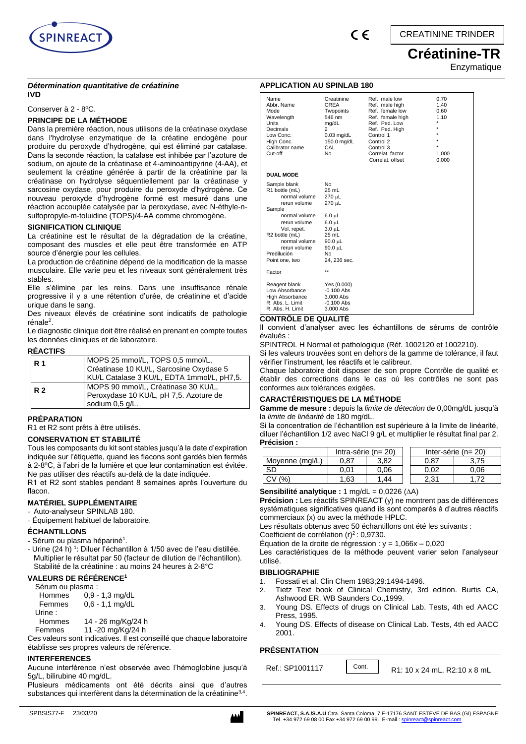

# **Créatinine-TR**  Enzymatique

### *Détermination quantitative de créatinine*  **IVD**

Conserver à 2 - 8ºC.

# **PRINCIPE DE LA MÉTHODE**

Dans la première réaction, nous utilisons de la créatinase oxydase dans l'hydrolyse enzymatique de la créatine endogène pour produire du peroxyde d'hydrogène, qui est éliminé par catalase. Dans la seconde réaction, la catalase est inhibée par l'azoture de sodium, on ajoute de la créatinase et 4-aminoantipyrine (4-AA), et seulement la créatine générée à partir de la créatinine par la créatinase on hydrolyse séquentiellement par la créatinase y sarcosine oxydase, pour produire du peroxyde d'hydrogène. Ce nouveau peroxyde d'hydrogène formé est mesuré dans une réaction accouplée catalysée par la peroxydase, avec N-éthyle-nsulfopropyle-m-toluidine (TOPS)/4-AA comme chromogène.

### **SIGNIFICATION CLINIQUE**

La créatinine est le résultat de la dégradation de la créatine, composant des muscles et elle peut être transformée en ATP source d'énergie pour les cellules.

La production de créatinine dépend de la modification de la masse musculaire. Elle varie peu et les niveaux sont généralement très stables.

Elle s'élimine par les reins. Dans une insuffisance rénale progressive il y a une rétention d'urée, de créatinine et d'acide urique dans le sang.

Des niveaux élevés de créatinine sont indicatifs de pathologie rénale<sup>2</sup>.

Le diagnostic clinique doit être réalisé en prenant en compte toutes les données cliniques et de laboratoire.

### **RÉACTIFS**

| <b>R</b> 1 | MOPS 25 mmol/L, TOPS 0,5 mmol/L,<br>Créatinase 10 KU/L, Sarcosine Oxydase 5<br>KU/L Catalase 3 KU/L, EDTA 1mmol/L, pH7,5. |
|------------|---------------------------------------------------------------------------------------------------------------------------|
| <b>R2</b>  | MOPS 90 mmol/L, Créatinase 30 KU/L,<br>Peroxydase 10 KU/L, pH 7,5. Azoture de<br>sodium 0,5 g/L.                          |

### **PRÉPARATION**

R1 et R2 sont prêts à être utilisés.

### **CONSERVATION ET STABILITÉ**

Tous les composants du kit sont stables jusqu'à la date d'expiration indiquée sur l'étiquette, quand les flacons sont gardés bien fermés à 2-8ºC, à l'abri de la lumière et que leur contamination est évitée. Ne pas utiliser des réactifs au-delà de la date indiquée.

R1 et R2 sont stables pendant 8 semaines après l'ouverture du flacon.

# **MATÉRIEL SUPPLÉMENTAIRE**

- Auto-analyseur SPINLAB 180.
- Équipement habituel de laboratoire.

### **ÉCHANTILLONS**

- Sérum ou plasma hépariné<sup>1</sup>.
- Urine (24 h) <sup>1</sup>: Diluer l'échantillon à 1/50 avec de l'eau distillée. Multiplier le résultat par 50 (facteur de dilution de l'échantillon). Stabilité de la créatinine : au moins 24 heures à 2-8°C

# **VALEURS DE RÉFÉRENCE<sup>1</sup>**

Sérum ou plasma :

| Hommes<br>Femmes | $0,9 - 1,3$ mg/dL<br>$0,6 - 1,1$ mg/dL |
|------------------|----------------------------------------|
| Urine :          |                                        |
|                  |                                        |

Hommes 14 - 26 mg/Kg/24 h

Femmes 11 -20 mg/Kg/24 h

Ces valeurs sont indicatives. Il est conseillé que chaque laboratoire établisse ses propres valeurs de référence.

### **INTERFERENCES**

Aucune interférence n'est observée avec l'hémoglobine jusqu'à 5g/L, bilirubine 40 mg/dL.

Plusieurs médicaments ont été décrits ainsi que d'autres substances qui interfèrent dans la détermination de la créatinine<sup>3,4</sup>.



### **APPLICATION AU SPINLAB 180**

| Name<br>Abbr. Name<br>Mode<br>Wavelength<br>Units<br>Decimals<br>Low Conc.<br>High Conc.<br>Calibrator name<br>Cut-off                                                   | Creatinine<br>CREA<br>Twopoints<br>546 nm<br>mg/dL<br>2<br>$0.03$ mg/dL<br>150.0 mg/dL<br>CAL<br>No | Ref. male low<br>Ref. male high<br>Ref. female low<br>Ref. female high<br>Ref. Ped. Low<br>Ref. Ped. High<br>Control 1<br>Control 2<br>Control 3<br>Correlat, factor<br>Correlat, offset | 0.70<br>1.40<br>0.60<br>1.10<br>1.000<br>0.000 |
|--------------------------------------------------------------------------------------------------------------------------------------------------------------------------|-----------------------------------------------------------------------------------------------------|------------------------------------------------------------------------------------------------------------------------------------------------------------------------------------------|------------------------------------------------|
| <b>DUAL MODE</b>                                                                                                                                                         |                                                                                                     |                                                                                                                                                                                          |                                                |
| Sample blank<br>R1 bottle (mL)<br>normal volume<br>rerun volume<br>Sample<br>normal volume<br>rerun volume<br>Vol. repet.<br>R <sub>2</sub> bottle (mL)<br>normal volume | No<br>$25$ mL<br>270 µL<br>270 µL<br>6.0 µL<br>6.0 µL<br>$3.0 \mu L$<br>25 mL<br>90.0 µL            |                                                                                                                                                                                          |                                                |
| rerun volume<br>Predilución<br>Point one, two                                                                                                                            | 90.0 µL<br>No<br>24, 236 sec.                                                                       |                                                                                                                                                                                          |                                                |
| Factor                                                                                                                                                                   | $\star\star$                                                                                        |                                                                                                                                                                                          |                                                |
| Reagent blank<br>Low Absorbance<br>High Absorbance<br>R. Abs. L. Limit<br>R. Abs. H. Limit                                                                               | Yes (0.000)<br>$-0.100$ Abs<br>3.000 Abs<br>$-0.100$ Abs<br>3.000 Abs                               |                                                                                                                                                                                          |                                                |

### **CONTRÔLE DE QUALITÉ**

Il convient d'analyser avec les échantillons de sérums de contrôle évalués :

SPINTROL H Normal et pathologique (Réf. 1002120 et 1002210).

Si les valeurs trouvées sont en dehors de la gamme de tolérance, il faut vérifier l'instrument, les réactifs et le calibreur.

Chaque laboratoire doit disposer de son propre Contrôle de qualité et établir des corrections dans le cas où les contrôles ne sont pas conformes aux tolérances exigées.

### **CARACTÉRISTIQUES DE LA MÉTHODE**

**Gamme de mesure :** depuis la *limite de détection* de 0,00mg/dL jusqu'à la *limite de linéarité* de 180 mg/dL.

Si la concentration de l'échantillon est supérieure à la limite de linéarité, diluer l'échantillon 1/2 avec NaCl 9 g/L et multiplier le résultat final par 2. **Précision :**

|                     | Intra-série ( $n = 20$ ) |      |  | Inter-série ( $n = 20$ ) |      |  |
|---------------------|--------------------------|------|--|--------------------------|------|--|
| Moyenne (mgl/L)     | 0.87                     | 3.82 |  | 0.87                     | 3.75 |  |
| SD                  | 0.01                     | 0.06 |  | 0.02                     | 0.06 |  |
| $(%^{(0)})(\theta)$ | .63                      | .44  |  | 2.31                     |      |  |

# **Sensibilité analytique :** 1 mg/dL = 0,0226 (A)

**Précision :** Les réactifs SPINREACT (y) ne montrent pas de différences systématiques significatives quand ils sont comparés à d'autres réactifs commerciaux (x) ou avec la méthode HPLC.

Les résultats obtenus avec 50 échantillons ont été les suivants :

Coefficient de corrélation  $(r)^2$ : 0,9730.

Équation de la droite de régression : y = 1,066x – 0,020

Les caractéristiques de la méthode peuvent varier selon l'analyseur utilisé.

### **BIBLIOGRAPHIE**

- 1. Fossati et al. Clin Chem 1983;29:1494-1496.
- 2. Tietz Text book of Clinical Chemistry, 3rd edition. Burtis CA, Ashwood ER. WB Saunders Co.,1999.
- 3. Young DS. Effects of drugs on Clinical Lab. Tests, 4th ed AACC Press, 1995.
- 4. Young DS. Effects of disease on Clinical Lab. Tests, 4th ed AACC 2001.

### **PRÉSENTATION**

| Ref.: SP1001117 | Cont. | R1: 10 x 24 mL, R2:10 x 8 mL |
|-----------------|-------|------------------------------|
|                 |       |                              |

SPBSIS77-F 23/03/20 **SPINREACT, S.A./S.A.U** Ctra. Santa Coloma, 7 E-17176 SANT ESTEVE DE BAS (GI) ESPAGNE<br>Tel. +34 972 69 08 00 Fax +34 972 69 08 99. E-mail : <u>spinreact.com</u>